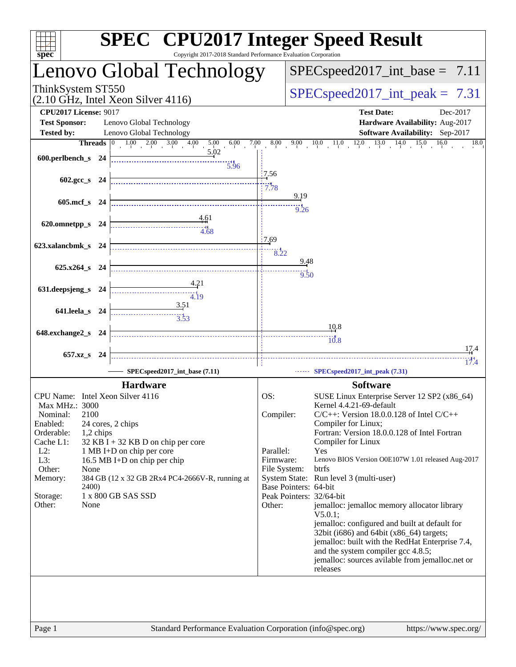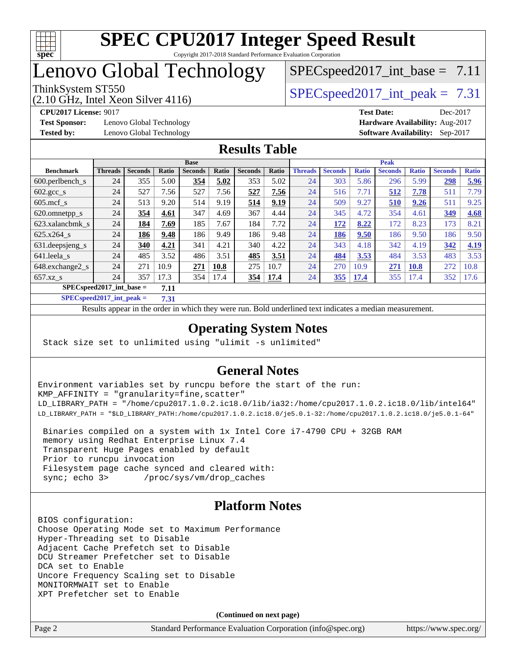

# Lenovo Global Technology

(2.10 GHz, Intel Xeon Silver 4116)

ThinkSystem ST550  $SPEC speed2017$  int peak = 7.31  $SPECspeed2017\_int\_base = 7.11$ 

**[Test Sponsor:](http://www.spec.org/auto/cpu2017/Docs/result-fields.html#TestSponsor)** Lenovo Global Technology **[Hardware Availability:](http://www.spec.org/auto/cpu2017/Docs/result-fields.html#HardwareAvailability)** Aug-2017 **[Tested by:](http://www.spec.org/auto/cpu2017/Docs/result-fields.html#Testedby)** Lenovo Global Technology **[Software Availability:](http://www.spec.org/auto/cpu2017/Docs/result-fields.html#SoftwareAvailability)** Sep-2017

**[CPU2017 License:](http://www.spec.org/auto/cpu2017/Docs/result-fields.html#CPU2017License)** 9017 **[Test Date:](http://www.spec.org/auto/cpu2017/Docs/result-fields.html#TestDate)** Dec-2017

## **[Results Table](http://www.spec.org/auto/cpu2017/Docs/result-fields.html#ResultsTable)**

|                                     | <b>Base</b>    |                |       |                |       | <b>Peak</b>    |       |                |                |              |                |              |                |              |
|-------------------------------------|----------------|----------------|-------|----------------|-------|----------------|-------|----------------|----------------|--------------|----------------|--------------|----------------|--------------|
| <b>Benchmark</b>                    | <b>Threads</b> | <b>Seconds</b> | Ratio | <b>Seconds</b> | Ratio | <b>Seconds</b> | Ratio | <b>Threads</b> | <b>Seconds</b> | <b>Ratio</b> | <b>Seconds</b> | <b>Ratio</b> | <b>Seconds</b> | <b>Ratio</b> |
| $600.$ perlbench $\mathsf{S}$       | 24             | 355            | 5.00  | 354            | 5.02  | 353            | 5.02  | 24             | 303            | 5.86         | 296            | 5.99         | 298            | 5.96         |
| $602 \text{.} \text{gcc}\text{.}$ s | 24             | 527            | 7.56  | 527            | 7.56  | 527            | 7.56  | 24             | 516            | 7.71         | 512            | 7.78         | 511            | 7.79         |
| $605$ .mcf s                        | 24             | 513            | 9.20  | 514            | 9.19  | 514            | 9.19  | 24             | 509            | 9.27         | 510            | 9.26         | 511            | 9.25         |
| 620.omnetpp_s                       | 24             | 354            | 4.61  | 347            | 4.69  | 367            | 4.44  | 24             | 345            | 4.72         | 354            | 4.61         | 349            | 4.68         |
| 623.xalancbmk s                     | 24             | 184            | 7.69  | 185            | 7.67  | 184            | 7.72  | 24             | 172            | 8.22         | 172            | 8.23         | 173            | 8.21         |
| $625.x264$ s                        | 24             | 186            | 9.48  | 186            | 9.49  | 186            | 9.48  | 24             | 186            | 9.50         | 186            | 9.50         | 186            | 9.50         |
| 631. deepsieng s                    | 24             | 340            | 4.21  | 341            | 4.21  | 340            | 4.22  | 24             | 343            | 4.18         | 342            | 4.19         | 342            | 4.19         |
| 641.leela s                         | 24             | 485            | 3.52  | 486            | 3.51  | 485            | 3.51  | 24             | 484            | 3.53         | 484            | 3.53         | 483            | 3.53         |
| 648.exchange2_s                     | 24             | 271            | 10.9  | 271            | 10.8  | 275            | 10.7  | 24             | 270            | 10.9         | 271            | <b>10.8</b>  | 272            | 10.8         |
| $657.xz$ s                          | 24             | 357            | 17.3  | 354            | 17.4  | 354            | 17.4  | 24             | 355            | <u>17.4</u>  | 355            | 17.4         | 352            | 17.6         |
| $SPECspeed2017$ int base =<br>7.11  |                |                |       |                |       |                |       |                |                |              |                |              |                |              |

**[SPECspeed2017\\_int\\_peak =](http://www.spec.org/auto/cpu2017/Docs/result-fields.html#SPECspeed2017intpeak) 7.31**

Results appear in the [order in which they were run.](http://www.spec.org/auto/cpu2017/Docs/result-fields.html#RunOrder) Bold underlined text [indicates a median measurement](http://www.spec.org/auto/cpu2017/Docs/result-fields.html#Median).

## **[Operating System Notes](http://www.spec.org/auto/cpu2017/Docs/result-fields.html#OperatingSystemNotes)**

Stack size set to unlimited using "ulimit -s unlimited"

## **[General Notes](http://www.spec.org/auto/cpu2017/Docs/result-fields.html#GeneralNotes)**

Environment variables set by runcpu before the start of the run: KMP\_AFFINITY = "granularity=fine,scatter" LD\_LIBRARY\_PATH = "/home/cpu2017.1.0.2.ic18.0/lib/ia32:/home/cpu2017.1.0.2.ic18.0/lib/intel64" LD\_LIBRARY\_PATH = "\$LD\_LIBRARY\_PATH:/home/cpu2017.1.0.2.ic18.0/je5.0.1-32:/home/cpu2017.1.0.2.ic18.0/je5.0.1-64"

 Binaries compiled on a system with 1x Intel Core i7-4790 CPU + 32GB RAM memory using Redhat Enterprise Linux 7.4 Transparent Huge Pages enabled by default Prior to runcpu invocation Filesystem page cache synced and cleared with: sync; echo 3> /proc/sys/vm/drop\_caches

## **[Platform Notes](http://www.spec.org/auto/cpu2017/Docs/result-fields.html#PlatformNotes)**

BIOS configuration: Choose Operating Mode set to Maximum Performance Hyper-Threading set to Disable Adjacent Cache Prefetch set to Disable DCU Streamer Prefetcher set to Disable DCA set to Enable Uncore Frequency Scaling set to Disable MONITORMWAIT set to Enable XPT Prefetcher set to Enable

**(Continued on next page)**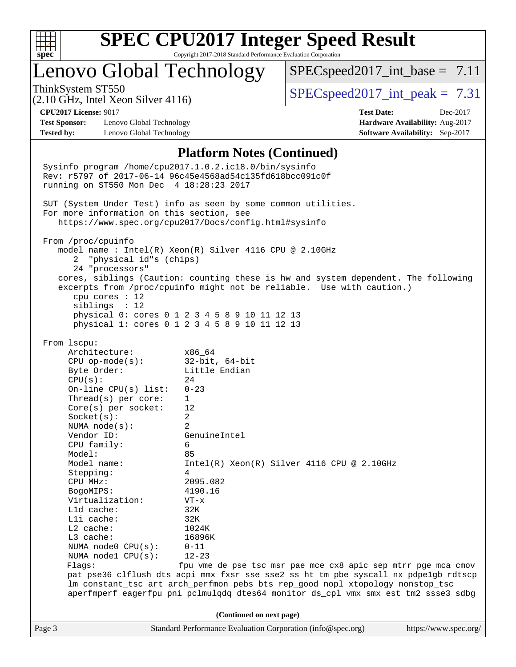

# Lenovo Global Technology

 $SPECspeed2017\_int\_base = 7.11$ 

(2.10 GHz, Intel Xeon Silver 4116)

ThinkSystem ST550  $SPEC speed2017$  int peak = 7.31

**[Test Sponsor:](http://www.spec.org/auto/cpu2017/Docs/result-fields.html#TestSponsor)** Lenovo Global Technology **[Hardware Availability:](http://www.spec.org/auto/cpu2017/Docs/result-fields.html#HardwareAvailability)** Aug-2017 **[Tested by:](http://www.spec.org/auto/cpu2017/Docs/result-fields.html#Testedby)** Lenovo Global Technology **[Software Availability:](http://www.spec.org/auto/cpu2017/Docs/result-fields.html#SoftwareAvailability)** Sep-2017

**[CPU2017 License:](http://www.spec.org/auto/cpu2017/Docs/result-fields.html#CPU2017License)** 9017 **[Test Date:](http://www.spec.org/auto/cpu2017/Docs/result-fields.html#TestDate)** Dec-2017

### **[Platform Notes \(Continued\)](http://www.spec.org/auto/cpu2017/Docs/result-fields.html#PlatformNotes)**

Page 3 Standard Performance Evaluation Corporation [\(info@spec.org\)](mailto:info@spec.org) <https://www.spec.org/> Sysinfo program /home/cpu2017.1.0.2.ic18.0/bin/sysinfo Rev: r5797 of 2017-06-14 96c45e4568ad54c135fd618bcc091c0f running on ST550 Mon Dec 4 18:28:23 2017 SUT (System Under Test) info as seen by some common utilities. For more information on this section, see <https://www.spec.org/cpu2017/Docs/config.html#sysinfo> From /proc/cpuinfo model name : Intel(R) Xeon(R) Silver 4116 CPU @ 2.10GHz 2 "physical id"s (chips) 24 "processors" cores, siblings (Caution: counting these is hw and system dependent. The following excerpts from /proc/cpuinfo might not be reliable. Use with caution.) cpu cores : 12 siblings : 12 physical 0: cores 0 1 2 3 4 5 8 9 10 11 12 13 physical 1: cores 0 1 2 3 4 5 8 9 10 11 12 13 From lscpu: Architecture: x86\_64 CPU op-mode(s): 32-bit, 64-bit Byte Order: Little Endian  $CPU(s):$  24 On-line CPU(s) list: 0-23 Thread(s) per core: 1 Core(s) per socket: 12 Socket(s): 2 NUMA node(s): 2 Vendor ID: GenuineIntel CPU family: 6 Model: 85 Model name:  $Intel(R)$  Xeon(R) Silver 4116 CPU @ 2.10GHz Stepping: 4 CPU MHz: 2095.082 BogoMIPS: 4190.16 Virtualization: VT-x L1d cache: 32K L1i cache: 32K L2 cache: 1024K L3 cache: 16896K NUMA node0 CPU(s): 0-11 NUMA node1 CPU(s): 12-23 Flags: fpu vme de pse tsc msr pae mce cx8 apic sep mtrr pge mca cmov pat pse36 clflush dts acpi mmx fxsr sse sse2 ss ht tm pbe syscall nx pdpe1gb rdtscp lm constant\_tsc art arch\_perfmon pebs bts rep\_good nopl xtopology nonstop\_tsc aperfmperf eagerfpu pni pclmulqdq dtes64 monitor ds\_cpl vmx smx est tm2 ssse3 sdbg **(Continued on next page)**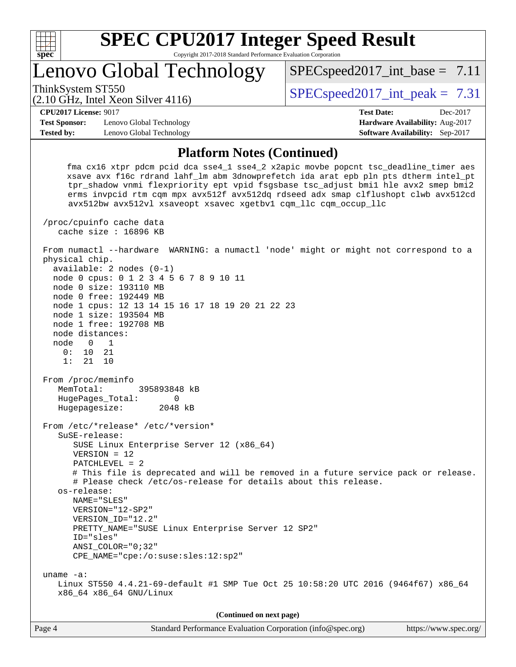

# Lenovo Global Technology

ThinkSystem ST550  $SPEC speed2017$  int peak = 7.31

 $SPECspeed2017\_int\_base = 7.11$ 

### (2.10 GHz, Intel Xeon Silver 4116)

**[CPU2017 License:](http://www.spec.org/auto/cpu2017/Docs/result-fields.html#CPU2017License)** 9017 **[Test Date:](http://www.spec.org/auto/cpu2017/Docs/result-fields.html#TestDate)** Dec-2017

**[Test Sponsor:](http://www.spec.org/auto/cpu2017/Docs/result-fields.html#TestSponsor)** Lenovo Global Technology **[Hardware Availability:](http://www.spec.org/auto/cpu2017/Docs/result-fields.html#HardwareAvailability)** Aug-2017 **[Tested by:](http://www.spec.org/auto/cpu2017/Docs/result-fields.html#Testedby)** Lenovo Global Technology **[Software Availability:](http://www.spec.org/auto/cpu2017/Docs/result-fields.html#SoftwareAvailability)** Sep-2017

## **[Platform Notes \(Continued\)](http://www.spec.org/auto/cpu2017/Docs/result-fields.html#PlatformNotes)**

 fma cx16 xtpr pdcm pcid dca sse4\_1 sse4\_2 x2apic movbe popcnt tsc\_deadline\_timer aes xsave avx f16c rdrand lahf\_lm abm 3dnowprefetch ida arat epb pln pts dtherm intel\_pt tpr\_shadow vnmi flexpriority ept vpid fsgsbase tsc\_adjust bmi1 hle avx2 smep bmi2 erms invpcid rtm cqm mpx avx512f avx512dq rdseed adx smap clflushopt clwb avx512cd avx512bw avx512vl xsaveopt xsavec xgetbv1 cqm\_llc cqm\_occup\_llc

 /proc/cpuinfo cache data cache size : 16896 KB

 From numactl --hardware WARNING: a numactl 'node' might or might not correspond to a physical chip. available: 2 nodes (0-1) node 0 cpus: 0 1 2 3 4 5 6 7 8 9 10 11

 node 0 size: 193110 MB node 0 free: 192449 MB node 1 cpus: 12 13 14 15 16 17 18 19 20 21 22 23

 node 1 size: 193504 MB node 1 free: 192708 MB

 node distances: node 0 1 0: 10 21

1: 21 10

 From /proc/meminfo MemTotal: 395893848 kB HugePages\_Total: 0 Hugepagesize: 2048 kB

 From /etc/\*release\* /etc/\*version\* SuSE-release: SUSE Linux Enterprise Server 12 (x86\_64) VERSION = 12 PATCHLEVEL = 2 # This file is deprecated and will be removed in a future service pack or release. # Please check /etc/os-release for details about this release. os-release: NAME="SLES" VERSION="12-SP2"

 VERSION\_ID="12.2" PRETTY\_NAME="SUSE Linux Enterprise Server 12 SP2"

ID="sles"

 ANSI\_COLOR="0;32" CPE\_NAME="cpe:/o:suse:sles:12:sp2"

 uname -a: Linux ST550 4.4.21-69-default #1 SMP Tue Oct 25 10:58:20 UTC 2016 (9464f67) x86\_64 x86\_64 x86\_64 GNU/Linux

**(Continued on next page)**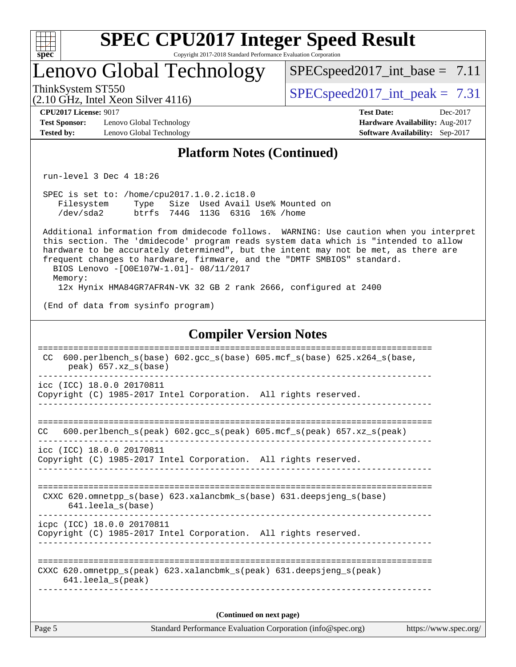| ę.<br>ť<br>L<br>z |  |  |  |  |  |  |  |
|-------------------|--|--|--|--|--|--|--|

## Lenovo Global Technology

 $SPECspeed2017\_int\_base = 7.11$ 

(2.10 GHz, Intel Xeon Silver 4116)

ThinkSystem ST550  $SPEC speed2017$  int peak = 7.31

**[CPU2017 License:](http://www.spec.org/auto/cpu2017/Docs/result-fields.html#CPU2017License)** 9017 **[Test Date:](http://www.spec.org/auto/cpu2017/Docs/result-fields.html#TestDate)** Dec-2017

**[Test Sponsor:](http://www.spec.org/auto/cpu2017/Docs/result-fields.html#TestSponsor)** Lenovo Global Technology **[Hardware Availability:](http://www.spec.org/auto/cpu2017/Docs/result-fields.html#HardwareAvailability)** Aug-2017 **[Tested by:](http://www.spec.org/auto/cpu2017/Docs/result-fields.html#Testedby)** Lenovo Global Technology **[Software Availability:](http://www.spec.org/auto/cpu2017/Docs/result-fields.html#SoftwareAvailability)** Sep-2017

## **[Platform Notes \(Continued\)](http://www.spec.org/auto/cpu2017/Docs/result-fields.html#PlatformNotes)**

run-level 3 Dec 4 18:26

 SPEC is set to: /home/cpu2017.1.0.2.ic18.0 Filesystem Type Size Used Avail Use% Mounted on /dev/sda2 btrfs 744G 113G 631G 16% /home

 Additional information from dmidecode follows. WARNING: Use caution when you interpret this section. The 'dmidecode' program reads system data which is "intended to allow hardware to be accurately determined", but the intent may not be met, as there are frequent changes to hardware, firmware, and the "DMTF SMBIOS" standard. BIOS Lenovo -[O0E107W-1.01]- 08/11/2017 Memory:

12x Hynix HMA84GR7AFR4N-VK 32 GB 2 rank 2666, configured at 2400

(End of data from sysinfo program)

### **[Compiler Version Notes](http://www.spec.org/auto/cpu2017/Docs/result-fields.html#CompilerVersionNotes)**

| CC.    | $600. perlbench_s(base) 602. gcc_s(base) 605. mcf_s(base) 625. x264_s(base,$                                            |
|--------|-------------------------------------------------------------------------------------------------------------------------|
|        | peak) 657.xz s(base)                                                                                                    |
|        | icc (ICC) 18.0.0 20170811<br>Copyright (C) 1985-2017 Intel Corporation. All rights reserved.                            |
| CC.    | ================================<br>600.perlbench $s$ (peak) 602.gcc $s$ (peak) 605.mcf $s$ (peak) 657.xz $s$ (peak)    |
|        | icc (ICC) 18.0.0 20170811<br>Copyright (C) 1985-2017 Intel Corporation. All rights reserved.                            |
|        | CXXC 620.omnetpp_s(base) 623.xalancbmk_s(base) 631.deepsjeng_s(base)<br>$641.$ leela $s$ (base)                         |
|        | icpc (ICC) 18.0.0 20170811<br>Copyright (C) 1985-2017 Intel Corporation. All rights reserved.                           |
|        | CXXC 620.omnetpp $s(\text{peak})$ 623.xalancbmk $s(\text{peak})$ 631.deepsjeng $s(\text{peak})$<br>$641.$ leela_s(peak) |
|        | (Continued on next page)                                                                                                |
| Page 5 | Standard Performance Evaluation Corporation (info@spec.org)<br>https://www.spec.org/                                    |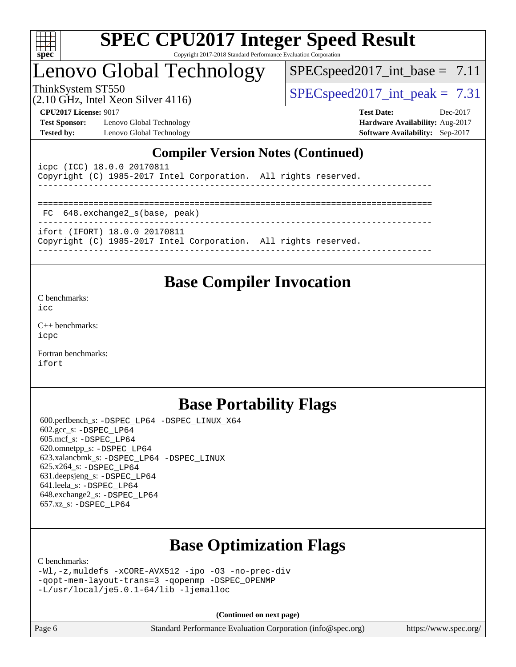

# Lenovo Global Technology

 $SPECspeed2017\_int\_base = 7.11$ 

(2.10 GHz, Intel Xeon Silver 4116)

ThinkSystem ST550  $SPEC speed2017$  int peak = 7.31

**[Test Sponsor:](http://www.spec.org/auto/cpu2017/Docs/result-fields.html#TestSponsor)** Lenovo Global Technology **[Hardware Availability:](http://www.spec.org/auto/cpu2017/Docs/result-fields.html#HardwareAvailability)** Aug-2017 **[Tested by:](http://www.spec.org/auto/cpu2017/Docs/result-fields.html#Testedby)** Lenovo Global Technology **[Software Availability:](http://www.spec.org/auto/cpu2017/Docs/result-fields.html#SoftwareAvailability)** Sep-2017

**[CPU2017 License:](http://www.spec.org/auto/cpu2017/Docs/result-fields.html#CPU2017License)** 9017 **[Test Date:](http://www.spec.org/auto/cpu2017/Docs/result-fields.html#TestDate)** Dec-2017

## **[Compiler Version Notes \(Continued\)](http://www.spec.org/auto/cpu2017/Docs/result-fields.html#CompilerVersionNotes)**

| icpc (ICC) 18.0.0 20170811<br>Copyright (C) 1985-2017 Intel Corporation. All rights reserved.    |  |
|--------------------------------------------------------------------------------------------------|--|
|                                                                                                  |  |
| FC 648.exchange2 s(base, peak)                                                                   |  |
| ifort (IFORT) 18.0.0 20170811<br>Copyright (C) 1985-2017 Intel Corporation. All rights reserved. |  |

## **[Base Compiler Invocation](http://www.spec.org/auto/cpu2017/Docs/result-fields.html#BaseCompilerInvocation)**

[C benchmarks](http://www.spec.org/auto/cpu2017/Docs/result-fields.html#Cbenchmarks):

[icc](http://www.spec.org/cpu2017/results/res2017q4/cpu2017-20171211-01521.flags.html#user_CCbase_intel_icc_18.0_66fc1ee009f7361af1fbd72ca7dcefbb700085f36577c54f309893dd4ec40d12360134090235512931783d35fd58c0460139e722d5067c5574d8eaf2b3e37e92)

[C++ benchmarks:](http://www.spec.org/auto/cpu2017/Docs/result-fields.html#CXXbenchmarks) [icpc](http://www.spec.org/cpu2017/results/res2017q4/cpu2017-20171211-01521.flags.html#user_CXXbase_intel_icpc_18.0_c510b6838c7f56d33e37e94d029a35b4a7bccf4766a728ee175e80a419847e808290a9b78be685c44ab727ea267ec2f070ec5dc83b407c0218cded6866a35d07)

[Fortran benchmarks](http://www.spec.org/auto/cpu2017/Docs/result-fields.html#Fortranbenchmarks): [ifort](http://www.spec.org/cpu2017/results/res2017q4/cpu2017-20171211-01521.flags.html#user_FCbase_intel_ifort_18.0_8111460550e3ca792625aed983ce982f94888b8b503583aa7ba2b8303487b4d8a21a13e7191a45c5fd58ff318f48f9492884d4413fa793fd88dd292cad7027ca)

## **[Base Portability Flags](http://www.spec.org/auto/cpu2017/Docs/result-fields.html#BasePortabilityFlags)**

 600.perlbench\_s: [-DSPEC\\_LP64](http://www.spec.org/cpu2017/results/res2017q4/cpu2017-20171211-01521.flags.html#b600.perlbench_s_basePORTABILITY_DSPEC_LP64) [-DSPEC\\_LINUX\\_X64](http://www.spec.org/cpu2017/results/res2017q4/cpu2017-20171211-01521.flags.html#b600.perlbench_s_baseCPORTABILITY_DSPEC_LINUX_X64) 602.gcc\_s: [-DSPEC\\_LP64](http://www.spec.org/cpu2017/results/res2017q4/cpu2017-20171211-01521.flags.html#suite_basePORTABILITY602_gcc_s_DSPEC_LP64) 605.mcf\_s: [-DSPEC\\_LP64](http://www.spec.org/cpu2017/results/res2017q4/cpu2017-20171211-01521.flags.html#suite_basePORTABILITY605_mcf_s_DSPEC_LP64) 620.omnetpp\_s: [-DSPEC\\_LP64](http://www.spec.org/cpu2017/results/res2017q4/cpu2017-20171211-01521.flags.html#suite_basePORTABILITY620_omnetpp_s_DSPEC_LP64) 623.xalancbmk\_s: [-DSPEC\\_LP64](http://www.spec.org/cpu2017/results/res2017q4/cpu2017-20171211-01521.flags.html#suite_basePORTABILITY623_xalancbmk_s_DSPEC_LP64) [-DSPEC\\_LINUX](http://www.spec.org/cpu2017/results/res2017q4/cpu2017-20171211-01521.flags.html#b623.xalancbmk_s_baseCXXPORTABILITY_DSPEC_LINUX) 625.x264\_s: [-DSPEC\\_LP64](http://www.spec.org/cpu2017/results/res2017q4/cpu2017-20171211-01521.flags.html#suite_basePORTABILITY625_x264_s_DSPEC_LP64) 631.deepsjeng\_s: [-DSPEC\\_LP64](http://www.spec.org/cpu2017/results/res2017q4/cpu2017-20171211-01521.flags.html#suite_basePORTABILITY631_deepsjeng_s_DSPEC_LP64) 641.leela\_s: [-DSPEC\\_LP64](http://www.spec.org/cpu2017/results/res2017q4/cpu2017-20171211-01521.flags.html#suite_basePORTABILITY641_leela_s_DSPEC_LP64) 648.exchange2\_s: [-DSPEC\\_LP64](http://www.spec.org/cpu2017/results/res2017q4/cpu2017-20171211-01521.flags.html#suite_basePORTABILITY648_exchange2_s_DSPEC_LP64) 657.xz\_s: [-DSPEC\\_LP64](http://www.spec.org/cpu2017/results/res2017q4/cpu2017-20171211-01521.flags.html#suite_basePORTABILITY657_xz_s_DSPEC_LP64)

# **[Base Optimization Flags](http://www.spec.org/auto/cpu2017/Docs/result-fields.html#BaseOptimizationFlags)**

[C benchmarks](http://www.spec.org/auto/cpu2017/Docs/result-fields.html#Cbenchmarks):

```
-Wl,-z,muldefs -xCORE-AVX512 -ipo -O3 -no-prec-div
-qopt-mem-layout-trans=3 -qopenmp -DSPEC_OPENMP
-L/usr/local/je5.0.1-64/lib -ljemalloc
```
**(Continued on next page)**

| Page 6 | Standard Performance Evaluation Corporation (info@spec.org) | https://www.spec.org/ |
|--------|-------------------------------------------------------------|-----------------------|
|--------|-------------------------------------------------------------|-----------------------|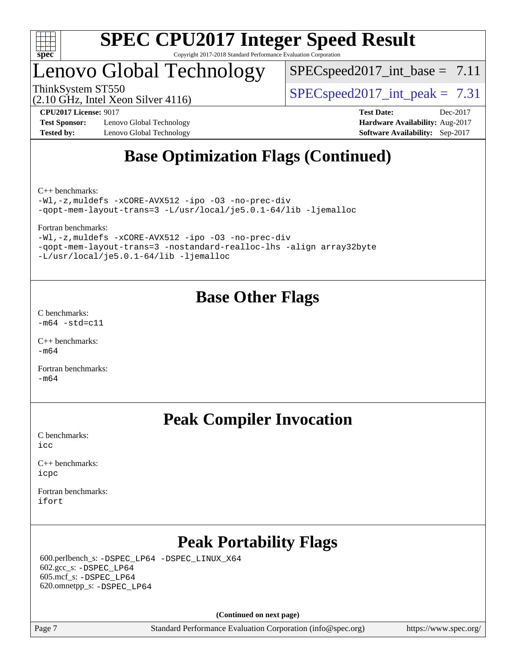

# Lenovo Global Technology

 $SPECspeed2017\_int\_base = 7.11$ 

(2.10 GHz, Intel Xeon Silver 4116)

ThinkSystem ST550  $SPEC speed2017$  int peak = 7.31

**[Test Sponsor:](http://www.spec.org/auto/cpu2017/Docs/result-fields.html#TestSponsor)** Lenovo Global Technology **[Hardware Availability:](http://www.spec.org/auto/cpu2017/Docs/result-fields.html#HardwareAvailability)** Aug-2017 **[Tested by:](http://www.spec.org/auto/cpu2017/Docs/result-fields.html#Testedby)** Lenovo Global Technology **[Software Availability:](http://www.spec.org/auto/cpu2017/Docs/result-fields.html#SoftwareAvailability)** Sep-2017

**[CPU2017 License:](http://www.spec.org/auto/cpu2017/Docs/result-fields.html#CPU2017License)** 9017 **[Test Date:](http://www.spec.org/auto/cpu2017/Docs/result-fields.html#TestDate)** Dec-2017

# **[Base Optimization Flags \(Continued\)](http://www.spec.org/auto/cpu2017/Docs/result-fields.html#BaseOptimizationFlags)**

[C++ benchmarks:](http://www.spec.org/auto/cpu2017/Docs/result-fields.html#CXXbenchmarks)

[-Wl,-z,muldefs](http://www.spec.org/cpu2017/results/res2017q4/cpu2017-20171211-01521.flags.html#user_CXXbase_link_force_multiple1_b4cbdb97b34bdee9ceefcfe54f4c8ea74255f0b02a4b23e853cdb0e18eb4525ac79b5a88067c842dd0ee6996c24547a27a4b99331201badda8798ef8a743f577) [-xCORE-AVX512](http://www.spec.org/cpu2017/results/res2017q4/cpu2017-20171211-01521.flags.html#user_CXXbase_f-xCORE-AVX512) [-ipo](http://www.spec.org/cpu2017/results/res2017q4/cpu2017-20171211-01521.flags.html#user_CXXbase_f-ipo) [-O3](http://www.spec.org/cpu2017/results/res2017q4/cpu2017-20171211-01521.flags.html#user_CXXbase_f-O3) [-no-prec-div](http://www.spec.org/cpu2017/results/res2017q4/cpu2017-20171211-01521.flags.html#user_CXXbase_f-no-prec-div) [-qopt-mem-layout-trans=3](http://www.spec.org/cpu2017/results/res2017q4/cpu2017-20171211-01521.flags.html#user_CXXbase_f-qopt-mem-layout-trans_de80db37974c74b1f0e20d883f0b675c88c3b01e9d123adea9b28688d64333345fb62bc4a798493513fdb68f60282f9a726aa07f478b2f7113531aecce732043) [-L/usr/local/je5.0.1-64/lib](http://www.spec.org/cpu2017/results/res2017q4/cpu2017-20171211-01521.flags.html#user_CXXbase_jemalloc_link_path64_4b10a636b7bce113509b17f3bd0d6226c5fb2346b9178c2d0232c14f04ab830f976640479e5c33dc2bcbbdad86ecfb6634cbbd4418746f06f368b512fced5394) [-ljemalloc](http://www.spec.org/cpu2017/results/res2017q4/cpu2017-20171211-01521.flags.html#user_CXXbase_jemalloc_link_lib_d1249b907c500fa1c0672f44f562e3d0f79738ae9e3c4a9c376d49f265a04b9c99b167ecedbf6711b3085be911c67ff61f150a17b3472be731631ba4d0471706)

[Fortran benchmarks](http://www.spec.org/auto/cpu2017/Docs/result-fields.html#Fortranbenchmarks):

[-Wl,-z,muldefs](http://www.spec.org/cpu2017/results/res2017q4/cpu2017-20171211-01521.flags.html#user_FCbase_link_force_multiple1_b4cbdb97b34bdee9ceefcfe54f4c8ea74255f0b02a4b23e853cdb0e18eb4525ac79b5a88067c842dd0ee6996c24547a27a4b99331201badda8798ef8a743f577) [-xCORE-AVX512](http://www.spec.org/cpu2017/results/res2017q4/cpu2017-20171211-01521.flags.html#user_FCbase_f-xCORE-AVX512) [-ipo](http://www.spec.org/cpu2017/results/res2017q4/cpu2017-20171211-01521.flags.html#user_FCbase_f-ipo) [-O3](http://www.spec.org/cpu2017/results/res2017q4/cpu2017-20171211-01521.flags.html#user_FCbase_f-O3) [-no-prec-div](http://www.spec.org/cpu2017/results/res2017q4/cpu2017-20171211-01521.flags.html#user_FCbase_f-no-prec-div) [-qopt-mem-layout-trans=3](http://www.spec.org/cpu2017/results/res2017q4/cpu2017-20171211-01521.flags.html#user_FCbase_f-qopt-mem-layout-trans_de80db37974c74b1f0e20d883f0b675c88c3b01e9d123adea9b28688d64333345fb62bc4a798493513fdb68f60282f9a726aa07f478b2f7113531aecce732043) [-nostandard-realloc-lhs](http://www.spec.org/cpu2017/results/res2017q4/cpu2017-20171211-01521.flags.html#user_FCbase_f_2003_std_realloc_82b4557e90729c0f113870c07e44d33d6f5a304b4f63d4c15d2d0f1fab99f5daaed73bdb9275d9ae411527f28b936061aa8b9c8f2d63842963b95c9dd6426b8a) [-align array32byte](http://www.spec.org/cpu2017/results/res2017q4/cpu2017-20171211-01521.flags.html#user_FCbase_align_array32byte_b982fe038af199962ba9a80c053b8342c548c85b40b8e86eb3cc33dee0d7986a4af373ac2d51c3f7cf710a18d62fdce2948f201cd044323541f22fc0fffc51b6) [-L/usr/local/je5.0.1-64/lib](http://www.spec.org/cpu2017/results/res2017q4/cpu2017-20171211-01521.flags.html#user_FCbase_jemalloc_link_path64_4b10a636b7bce113509b17f3bd0d6226c5fb2346b9178c2d0232c14f04ab830f976640479e5c33dc2bcbbdad86ecfb6634cbbd4418746f06f368b512fced5394) [-ljemalloc](http://www.spec.org/cpu2017/results/res2017q4/cpu2017-20171211-01521.flags.html#user_FCbase_jemalloc_link_lib_d1249b907c500fa1c0672f44f562e3d0f79738ae9e3c4a9c376d49f265a04b9c99b167ecedbf6711b3085be911c67ff61f150a17b3472be731631ba4d0471706)

## **[Base Other Flags](http://www.spec.org/auto/cpu2017/Docs/result-fields.html#BaseOtherFlags)**

[C benchmarks](http://www.spec.org/auto/cpu2017/Docs/result-fields.html#Cbenchmarks):  $-m64$   $-std=cl1$ 

[C++ benchmarks:](http://www.spec.org/auto/cpu2017/Docs/result-fields.html#CXXbenchmarks) [-m64](http://www.spec.org/cpu2017/results/res2017q4/cpu2017-20171211-01521.flags.html#user_CXXbase_intel_intel64_18.0_af43caccfc8ded86e7699f2159af6efc7655f51387b94da716254467f3c01020a5059329e2569e4053f409e7c9202a7efc638f7a6d1ffb3f52dea4a3e31d82ab)

[Fortran benchmarks](http://www.spec.org/auto/cpu2017/Docs/result-fields.html#Fortranbenchmarks):  $-m64$ 

## **[Peak Compiler Invocation](http://www.spec.org/auto/cpu2017/Docs/result-fields.html#PeakCompilerInvocation)**

[C benchmarks](http://www.spec.org/auto/cpu2017/Docs/result-fields.html#Cbenchmarks): [icc](http://www.spec.org/cpu2017/results/res2017q4/cpu2017-20171211-01521.flags.html#user_CCpeak_intel_icc_18.0_66fc1ee009f7361af1fbd72ca7dcefbb700085f36577c54f309893dd4ec40d12360134090235512931783d35fd58c0460139e722d5067c5574d8eaf2b3e37e92)

[C++ benchmarks:](http://www.spec.org/auto/cpu2017/Docs/result-fields.html#CXXbenchmarks) [icpc](http://www.spec.org/cpu2017/results/res2017q4/cpu2017-20171211-01521.flags.html#user_CXXpeak_intel_icpc_18.0_c510b6838c7f56d33e37e94d029a35b4a7bccf4766a728ee175e80a419847e808290a9b78be685c44ab727ea267ec2f070ec5dc83b407c0218cded6866a35d07)

[Fortran benchmarks](http://www.spec.org/auto/cpu2017/Docs/result-fields.html#Fortranbenchmarks): [ifort](http://www.spec.org/cpu2017/results/res2017q4/cpu2017-20171211-01521.flags.html#user_FCpeak_intel_ifort_18.0_8111460550e3ca792625aed983ce982f94888b8b503583aa7ba2b8303487b4d8a21a13e7191a45c5fd58ff318f48f9492884d4413fa793fd88dd292cad7027ca)

# **[Peak Portability Flags](http://www.spec.org/auto/cpu2017/Docs/result-fields.html#PeakPortabilityFlags)**

 600.perlbench\_s: [-DSPEC\\_LP64](http://www.spec.org/cpu2017/results/res2017q4/cpu2017-20171211-01521.flags.html#b600.perlbench_s_peakPORTABILITY_DSPEC_LP64) [-DSPEC\\_LINUX\\_X64](http://www.spec.org/cpu2017/results/res2017q4/cpu2017-20171211-01521.flags.html#b600.perlbench_s_peakCPORTABILITY_DSPEC_LINUX_X64) 602.gcc\_s: [-DSPEC\\_LP64](http://www.spec.org/cpu2017/results/res2017q4/cpu2017-20171211-01521.flags.html#suite_peakPORTABILITY602_gcc_s_DSPEC_LP64) 605.mcf\_s: [-DSPEC\\_LP64](http://www.spec.org/cpu2017/results/res2017q4/cpu2017-20171211-01521.flags.html#suite_peakPORTABILITY605_mcf_s_DSPEC_LP64) 620.omnetpp\_s: [-DSPEC\\_LP64](http://www.spec.org/cpu2017/results/res2017q4/cpu2017-20171211-01521.flags.html#suite_peakPORTABILITY620_omnetpp_s_DSPEC_LP64)

**(Continued on next page)**

Page 7 Standard Performance Evaluation Corporation [\(info@spec.org\)](mailto:info@spec.org) <https://www.spec.org/>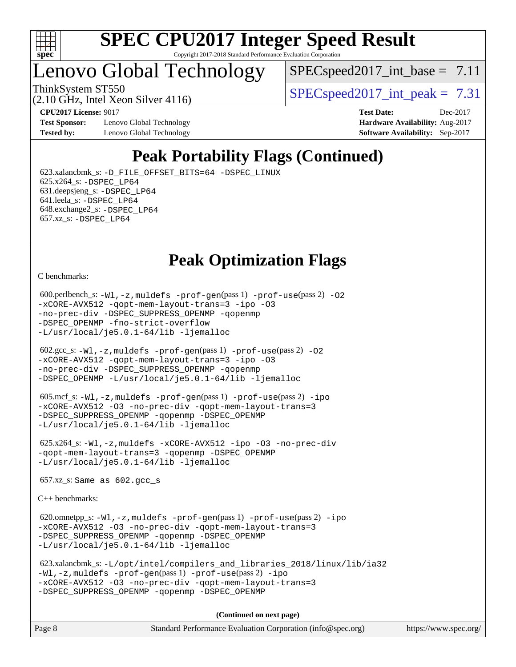

# Lenovo Global Technology

 $SPEC speed2017\_int\_base = 7.11$ 

(2.10 GHz, Intel Xeon Silver 4116)

ThinkSystem ST550  $SPEC speed2017$  int peak = 7.31

**[Test Sponsor:](http://www.spec.org/auto/cpu2017/Docs/result-fields.html#TestSponsor)** Lenovo Global Technology **[Hardware Availability:](http://www.spec.org/auto/cpu2017/Docs/result-fields.html#HardwareAvailability)** Aug-2017 **[Tested by:](http://www.spec.org/auto/cpu2017/Docs/result-fields.html#Testedby)** Lenovo Global Technology **[Software Availability:](http://www.spec.org/auto/cpu2017/Docs/result-fields.html#SoftwareAvailability)** Sep-2017

**[CPU2017 License:](http://www.spec.org/auto/cpu2017/Docs/result-fields.html#CPU2017License)** 9017 **[Test Date:](http://www.spec.org/auto/cpu2017/Docs/result-fields.html#TestDate)** Dec-2017

# **[Peak Portability Flags \(Continued\)](http://www.spec.org/auto/cpu2017/Docs/result-fields.html#PeakPortabilityFlags)**

 623.xalancbmk\_s: [-D\\_FILE\\_OFFSET\\_BITS=64](http://www.spec.org/cpu2017/results/res2017q4/cpu2017-20171211-01521.flags.html#user_peakPORTABILITY623_xalancbmk_s_file_offset_bits_64_5ae949a99b284ddf4e95728d47cb0843d81b2eb0e18bdfe74bbf0f61d0b064f4bda2f10ea5eb90e1dcab0e84dbc592acfc5018bc955c18609f94ddb8d550002c) [-DSPEC\\_LINUX](http://www.spec.org/cpu2017/results/res2017q4/cpu2017-20171211-01521.flags.html#b623.xalancbmk_s_peakCXXPORTABILITY_DSPEC_LINUX) 625.x264\_s: [-DSPEC\\_LP64](http://www.spec.org/cpu2017/results/res2017q4/cpu2017-20171211-01521.flags.html#suite_peakPORTABILITY625_x264_s_DSPEC_LP64) 631.deepsjeng\_s: [-DSPEC\\_LP64](http://www.spec.org/cpu2017/results/res2017q4/cpu2017-20171211-01521.flags.html#suite_peakPORTABILITY631_deepsjeng_s_DSPEC_LP64) 641.leela\_s: [-DSPEC\\_LP64](http://www.spec.org/cpu2017/results/res2017q4/cpu2017-20171211-01521.flags.html#suite_peakPORTABILITY641_leela_s_DSPEC_LP64) 648.exchange2\_s: [-DSPEC\\_LP64](http://www.spec.org/cpu2017/results/res2017q4/cpu2017-20171211-01521.flags.html#suite_peakPORTABILITY648_exchange2_s_DSPEC_LP64) 657.xz\_s: [-DSPEC\\_LP64](http://www.spec.org/cpu2017/results/res2017q4/cpu2017-20171211-01521.flags.html#suite_peakPORTABILITY657_xz_s_DSPEC_LP64)

**[Peak Optimization Flags](http://www.spec.org/auto/cpu2017/Docs/result-fields.html#PeakOptimizationFlags)**

[C benchmarks](http://www.spec.org/auto/cpu2017/Docs/result-fields.html#Cbenchmarks):

```
600.perlbench_s: -W1, -z, muldefs -prof-gen(pass 1)-prof-use(pass 2) -02
-xCORE-AVX512 -qopt-mem-layout-trans=3 -ipo -O3
-no-prec-div -DSPEC_SUPPRESS_OPENMP -qopenmp
-DSPEC_OPENMP -fno-strict-overflow
-L/usr/local/je5.0.1-64/lib -ljemalloc
 602.gcc_s: -Wl,-z,muldefs -prof-gen(pass 1) -prof-use(pass 2) -O2
-xCORE-AVX512 -qopt-mem-layout-trans=3 -ipo -O3
-no-prec-div -DSPEC_SUPPRESS_OPENMP -qopenmp
-DSPEC_OPENMP -L/usr/local/je5.0.1-64/lib -ljemalloc
 605.mcf_s: -Wl,-z,muldefs -prof-gen(pass 1) -prof-use(pass 2) -ipo
-xCORE-AVX512 -O3 -no-prec-div -qopt-mem-layout-trans=3
-DSPEC_SUPPRESS_OPENMP -qopenmp -DSPEC_OPENMP
-L/usr/local/je5.0.1-64/lib -ljemalloc
 625.x264_s: -Wl,-z,muldefs -xCORE-AVX512 -ipo -O3 -no-prec-div
-qopt-mem-layout-trans=3 -qopenmp -DSPEC_OPENMP
-L/usr/local/je5.0.1-64/lib -ljemalloc
 657.xz_s: Same as 602.gcc_s
C++ benchmarks: 
 620.omnetpp_s: -Wl,-z,muldefs -prof-gen(pass 1) -prof-use(pass 2) -ipo
-xCORE-AVX512 -O3 -no-prec-div -qopt-mem-layout-trans=3
-DSPEC_SUPPRESS_OPENMP -qopenmp -DSPEC_OPENMP
-L/usr/local/je5.0.1-64/lib -ljemalloc
 623.xalancbmk_s: -L/opt/intel/compilers_and_libraries_2018/linux/lib/ia32
-Wl,-z,muldefs -prof-gen(pass 1) -prof-use(pass 2) -ipo
-xCORE-AVX512 -O3 -no-prec-div -qopt-mem-layout-trans=3
-DSPEC_SUPPRESS_OPENMP -qopenmp -DSPEC_OPENMP
                                     (Continued on next page)
```
Page 8 Standard Performance Evaluation Corporation [\(info@spec.org\)](mailto:info@spec.org) <https://www.spec.org/>